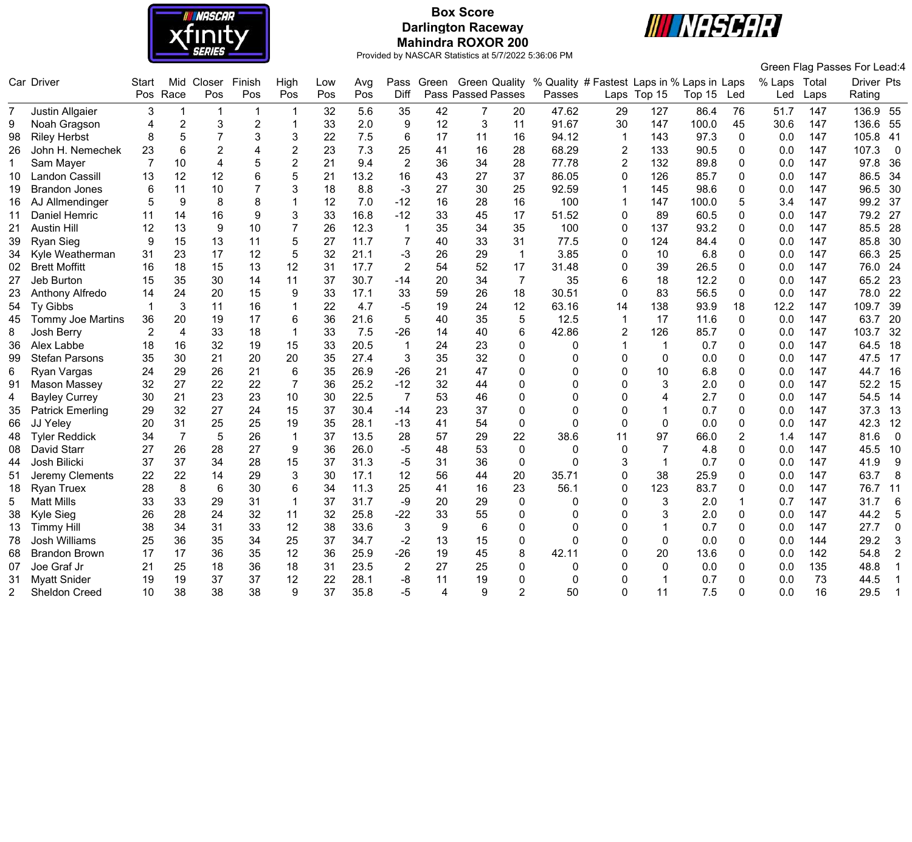

# **Box Score Darlington Raceway Mahindra ROXOR 200**



|    |                          |                |                |                         |                |                |            |            |                 |            |                                                   |                |                                                      |                |              |        |          |                     |      | Green Flag Passes For Lead:4 |
|----|--------------------------|----------------|----------------|-------------------------|----------------|----------------|------------|------------|-----------------|------------|---------------------------------------------------|----------------|------------------------------------------------------|----------------|--------------|--------|----------|---------------------|------|------------------------------|
|    | Car Driver               | Start          | Pos Race       | Mid Closer<br>Pos       | Finish<br>Pos  | High<br>Pos    | Low<br>Pos | Avg<br>Pos | Diff            | Pass Green | <b>Green Quality</b><br><b>Pass Passed Passes</b> |                | % Quality # Fastest Laps in % Laps in Laps<br>Passes |                | Laps Top 15  | Top 15 | Led      | % Laps Total<br>Led | Laps | Driver Pts<br>Rating         |
| 7  | Justin Allgaier          | 3              | $\mathbf 1$    | $\overline{\mathbf{1}}$ | $\mathbf{1}$   | -1             | 32         | 5.6        | 35              | 42         | $\overline{7}$                                    | 20             | 47.62                                                | 29             | 127          | 86.4   | 76       | 51.7                | 147  | 136.9 55                     |
| 9  | Noah Gragson             | 4              | $\overline{2}$ | $\sqrt{3}$              | $\overline{2}$ |                | 33         | 2.0        | 9               | 12         | 3                                                 | 11             | 91.67                                                | 30             | 147          | 100.0  | 45       | 30.6                | 147  | 136.6<br>55                  |
| 98 | <b>Riley Herbst</b>      | 8              | $\sqrt{5}$     | $\overline{7}$          | 3              | 3              | 22         | 7.5        | $6\phantom{1}6$ | 17         | 11                                                | 16             | 94.12                                                |                | 143          | 97.3   | 0        | 0.0                 | 147  | 105.8<br>-41                 |
| 26 | John H. Nemechek         | 23             | 6              | $\overline{2}$          | 4              | $\overline{2}$ | 23         | 7.3        | 25              | 41         | 16                                                | 28             | 68.29                                                | $\overline{2}$ | 133          | 90.5   | 0        | 0.0                 | 147  | 107.3<br>$\overline{0}$      |
| 1. | Sam Mayer                | 7              | 10             | $\overline{4}$          | 5              | $\overline{2}$ | 21         | 9.4        | $\overline{2}$  | 36         | 34                                                | 28             | 77.78                                                | $\overline{2}$ | 132          | 89.8   | 0        | 0.0                 | 147  | 97.8<br>36                   |
| 10 | Landon Cassill           | 13             | 12             | 12                      | 6              | 5              | 21         | 13.2       | 16              | 43         | 27                                                | 37             | 86.05                                                | $\Omega$       | 126          | 85.7   | $\Omega$ | 0.0                 | 147  | 34<br>86.5                   |
| 19 | <b>Brandon Jones</b>     | 6              | 11             | 10                      |                | 3              | 18         | 8.8        | $-3$            | 27         | 30                                                | 25             | 92.59                                                | $\mathbf{1}$   | 145          | 98.6   | 0        | 0.0                 | 147  | 30<br>96.5                   |
| 16 | AJ Allmendinger          | 5              | 9              | 8                       | 8              |                | 12         | 7.0        | $-12$           | 16         | 28                                                | 16             | 100                                                  | $\mathbf 1$    | 147          | 100.0  | 5        | 3.4                 | 147  | 37<br>99.2                   |
| 11 | Daniel Hemric            | 11             | 14             | 16                      | 9              | 3              | 33         | 16.8       | $-12$           | 33         | 45                                                | 17             | 51.52                                                | $\mathbf 0$    | 89           | 60.5   | 0        | 0.0                 | 147  | 79.2<br>27                   |
| 21 | <b>Austin Hill</b>       | 12             | 13             | 9                       | 10             | $\overline{7}$ | 26         | 12.3       | $\mathbf{1}$    | 35         | 34                                                | 35             | 100                                                  | $\mathbf 0$    | 137          | 93.2   | 0        | 0.0                 | 147  | 85.5<br>28                   |
| 39 | <b>Ryan Sieg</b>         | 9              | 15             | 13                      | 11             | 5              | 27         | 11.7       | $\overline{7}$  | 40         | 33                                                | 31             | 77.5                                                 | $\mathbf 0$    | 124          | 84.4   | $\Omega$ | 0.0                 | 147  | 30<br>85.8                   |
| 34 | Kyle Weatherman          | 31             | 23             | 17                      | 12             | 5              | 32         | 21.1       | $-3$            | 26         | 29                                                | $\mathbf{1}$   | 3.85                                                 | 0              | 10           | 6.8    | 0        | 0.0                 | 147  | 25<br>66.3                   |
| 02 | <b>Brett Moffitt</b>     | 16             | 18             | 15                      | 13             | 12             | 31         | 17.7       | $\overline{2}$  | 54         | 52                                                | 17             | 31.48                                                | $\mathbf 0$    | 39           | 26.5   | 0        | 0.0                 | 147  | 76.0<br>24                   |
| 27 | Jeb Burton               | 15             | 35             | 30                      | 14             | 11             | 37         | 30.7       | $-14$           | 20         | 34                                                | $\overline{7}$ | 35                                                   | 6              | 18           | 12.2   | 0        | 0.0                 | 147  | 65.2<br>23                   |
| 23 | Anthony Alfredo          | 14             | 24             | 20                      | 15             | 9              | 33         | 17.1       | 33              | 59         | 26                                                | 18             | 30.51                                                | $\Omega$       | 83           | 56.5   | 0        | 0.0                 | 147  | 78.0<br>22                   |
| 54 | Ty Gibbs                 |                | 3              | 11                      | 16             |                | 22         | 4.7        | -5              | 19         | 24                                                | 12             | 63.16                                                | 14             | 138          | 93.9   | 18       | 12.2                | 147  | 39<br>109.7                  |
| 45 | <b>Tommy Joe Martins</b> | 36             | 20             | 19                      | 17             | 6              | 36         | 21.6       | 5               | 40         | 35                                                | 5              | 12.5                                                 | $\mathbf{1}$   | 17           | 11.6   | $\Omega$ | 0.0                 | 147  | 63.7<br>20                   |
| 8  | Josh Berry               | $\overline{2}$ | $\overline{4}$ | 33                      | 18             | $\mathbf{1}$   | 33         | 7.5        | $-26$           | 14         | 40                                                | 6              | 42.86                                                | $\overline{2}$ | 126          | 85.7   | 0        | 0.0                 | 147  | 103.7<br>32                  |
| 36 | Alex Labbe               | 18             | 16             | 32                      | 19             | 15             | 33         | 20.5       | $\mathbf{1}$    | 24         | 23                                                | 0              | 0                                                    | -1             | $\mathbf 1$  | 0.7    | 0        | 0.0                 | 147  | 18<br>64.5                   |
| 99 | <b>Stefan Parsons</b>    | 35             | 30             | 21                      | 20             | 20             | 35         | 27.4       | 3               | 35         | 32                                                | $\mathbf 0$    | 0                                                    | $\mathbf 0$    | $\mathbf 0$  | 0.0    | 0        | 0.0                 | 147  | 17<br>47.5                   |
| 6  | Ryan Vargas              | 24             | 29             | 26                      | 21             | 6              | 35         | 26.9       | $-26$           | 21         | 47                                                | $\mathbf 0$    | $\Omega$                                             | $\Omega$       | 10           | 6.8    | $\Omega$ | 0.0                 | 147  | 16<br>44.7                   |
| 91 | Mason Massey             | 32             | 27             | 22                      | 22             | $\overline{7}$ | 36         | 25.2       | $-12$           | 32         | 44                                                | $\mathbf 0$    | $\Omega$                                             | $\Omega$       | 3            | 2.0    | $\Omega$ | 0.0                 | 147  | 52.2<br>15                   |
| 4  | <b>Bayley Currey</b>     | 30             | 21             | 23                      | 23             | 10             | 30         | 22.5       | $\overline{7}$  | 53         | 46                                                | $\mathbf 0$    | $\Omega$                                             | $\Omega$       | 4            | 2.7    | 0        | 0.0                 | 147  | 54.5<br>14                   |
| 35 | <b>Patrick Emerling</b>  | 29             | 32             | 27                      | 24             | 15             | 37         | 30.4       | $-14$           | 23         | 37                                                | $\mathbf 0$    | $\Omega$                                             | $\Omega$       |              | 0.7    | 0        | 0.0                 | 147  | 37.3<br>13                   |
| 66 | JJ Yeley                 | 20             | 31             | 25                      | 25             | 19             | 35         | 28.1       | $-13$           | 41         | 54                                                | $\pmb{0}$      | 0                                                    | $\Omega$       | 0            | 0.0    | 0        | 0.0                 | 147  | 12<br>42.3                   |
| 48 | <b>Tyler Reddick</b>     | 34             | 7              | 5                       | 26             | $\overline{1}$ | 37         | 13.5       | 28              | 57         | 29                                                | 22             | 38.6                                                 | 11             | 97           | 66.0   | 2        | 1.4                 | 147  | $\overline{0}$<br>81.6       |
| 08 | David Starr              | 27             | 26             | 28                      | 27             | 9              | 36         | 26.0       | $-5$            | 48         | 53                                                | 0              | 0                                                    | $\mathbf{0}$   | 7            | 4.8    | 0        | 0.0                 | 147  | 45.5<br>10                   |
| 44 | Josh Bilicki             | 37             | 37             | 34                      | 28             | 15             | 37         | 31.3       | $-5$            | 31         | 36                                                | $\pmb{0}$      | $\mathbf 0$                                          | 3              | $\mathbf{1}$ | 0.7    | 0        | 0.0                 | 147  | 41.9<br>9                    |
| 51 | Jeremy Clements          | 22             | 22             | 14                      | 29             | 3              | 30         | 17.1       | 12              | 56         | 44                                                | 20             | 35.71                                                | $\mathbf 0$    | 38           | 25.9   | 0        | 0.0                 | 147  | 63.7<br>8                    |
| 18 | <b>Ryan Truex</b>        | 28             | 8              | 6                       | 30             | 6              | 34         | 11.3       | 25              | 41         | 16                                                | 23             | 56.1                                                 | $\mathbf{0}$   | 123          | 83.7   | 0        | 0.0                 | 147  | 76.7<br>11                   |
| 5  | <b>Matt Mills</b>        | 33             | 33             | 29                      | 31             |                | 37         | 31.7       | -9              | 20         | 29                                                | 0              | 0                                                    | $\mathbf{0}$   | 3            | 2.0    |          | 0.7                 | 147  | $\,6$<br>31.7                |
| 38 | Kyle Sieg                | 26             | 28             | 24                      | 32             | 11             | 32         | 25.8       | $-22$           | 33         | 55                                                | $\Omega$       | 0                                                    | $\Omega$       | 3            | 2.0    | $\Omega$ | 0.0                 | 147  | 44.2<br>5                    |
| 13 | <b>Timmy Hill</b>        | 38             | 34             | 31                      | 33             | 12             | 38         | 33.6       | $\mathbf{3}$    | 9          | 6                                                 | $\mathbf 0$    | $\Omega$                                             | $\Omega$       |              | 0.7    | 0        | 0.0                 | 147  | 27.7<br>$\mathbf 0$          |
| 78 | Josh Williams            | 25             | 36             | 35                      | 34             | 25             | 37         | 34.7       | $-2$            | 13         | 15                                                | $\mathbf 0$    | 0                                                    | $\mathbf 0$    | 0            | 0.0    | 0        | 0.0                 | 144  | 29.2<br>$\mathbf{3}$         |
| 68 | <b>Brandon Brown</b>     | 17             | 17             | 36                      | 35             | 12             | 36         | 25.9       | $-26$           | 19         | 45                                                | 8              | 42.11                                                | $\mathbf 0$    | 20           | 13.6   | 0        | 0.0                 | 142  | 54.8<br>$\overline{2}$       |
| 07 | Joe Graf Jr              | 21             | 25             | 18                      | 36             | 18             | 31         | 23.5       | $\overline{2}$  | 27         | 25                                                | $\mathbf{0}$   | 0                                                    | $\Omega$       | 0            | 0.0    | 0        | 0.0                 | 135  | 48.8<br>$\mathbf{1}$         |
| 31 | <b>Myatt Snider</b>      | 19             | 19             | 37                      | 37             | 12             | 22         | 28.1       | -8              | 11         | 19                                                | $\Omega$       | 0                                                    | $\Omega$       |              | 0.7    | 0        | 0.0                 | 73   | 44.5                         |
| 2  | <b>Sheldon Creed</b>     | 10             | 38             | 38                      | 38             | 9              | 37         | 35.8       | $-5$            | 4          | 9                                                 | $\mathcal{P}$  | 50                                                   | $\Omega$       | 11           | 7.5    | U        | 0.0                 | 16   | 29.5<br>-1                   |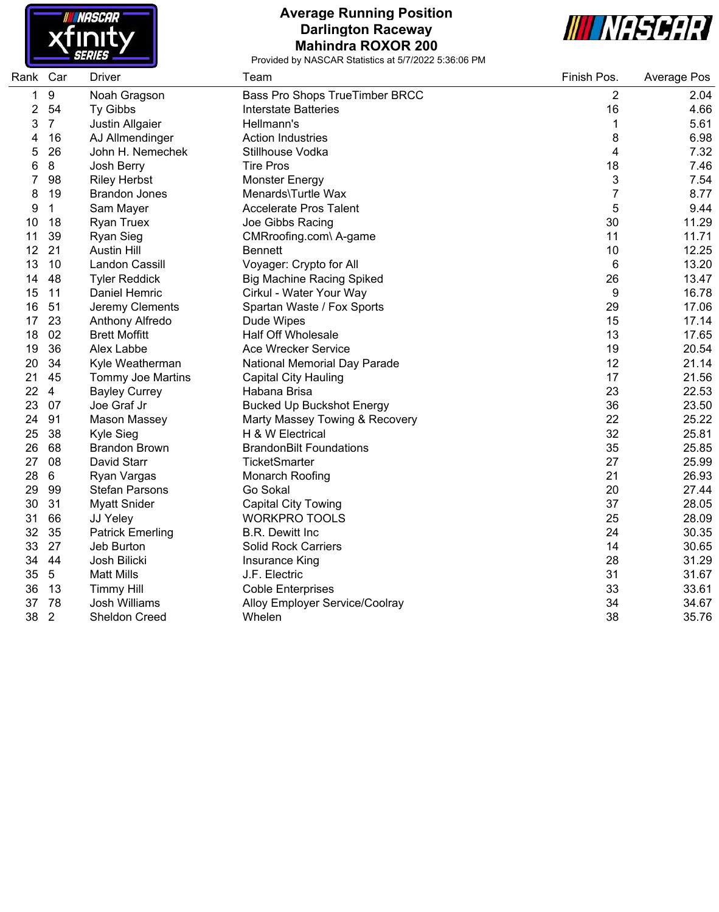

#### **Average Running Position Darlington Raceway Mahindra ROXOR 200**



| Rank | Car            | <b>Driver</b>           | Team                             | Finish Pos.    | Average Pos |
|------|----------------|-------------------------|----------------------------------|----------------|-------------|
| 1    | 9              | Noah Gragson            | Bass Pro Shops TrueTimber BRCC   | 2              | 2.04        |
| 2    | 54             | Ty Gibbs                | Interstate Batteries             | 16             | 4.66        |
| 3    | $\overline{7}$ | Justin Allgaier         | Hellmann's                       | 1              | 5.61        |
| 4    | 16             | AJ Allmendinger         | <b>Action Industries</b>         | 8              | 6.98        |
| 5    | 26             | John H. Nemechek        | Stillhouse Vodka                 | 4              | 7.32        |
| 6    | $\bf 8$        | Josh Berry              | <b>Tire Pros</b>                 | 18             | 7.46        |
|      | 98             | <b>Riley Herbst</b>     | <b>Monster Energy</b>            | 3              | 7.54        |
| 8    | 19             | <b>Brandon Jones</b>    | Menards\Turtle Wax               | $\overline{7}$ | 8.77        |
| 9    | $\mathbf 1$    | Sam Mayer               | <b>Accelerate Pros Talent</b>    | 5              | 9.44        |
| 10   | 18             | <b>Ryan Truex</b>       | Joe Gibbs Racing                 | 30             | 11.29       |
| 11   | 39             | <b>Ryan Sieg</b>        | CMRroofing.com\ A-game           | 11             | 11.71       |
| 12   | 21             | <b>Austin Hill</b>      | <b>Bennett</b>                   | 10             | 12.25       |
| 13   | 10             | Landon Cassill          | Voyager: Crypto for All          | 6              | 13.20       |
| 14   | 48             | <b>Tyler Reddick</b>    | <b>Big Machine Racing Spiked</b> | 26             | 13.47       |
| 15   | 11             | Daniel Hemric           | Cirkul - Water Your Way          | 9              | 16.78       |
| 16   | 51             | Jeremy Clements         | Spartan Waste / Fox Sports       | 29             | 17.06       |
| 17   | 23             | Anthony Alfredo         | Dude Wipes                       | 15             | 17.14       |
| 18   | 02             | <b>Brett Moffitt</b>    | <b>Half Off Wholesale</b>        | 13             | 17.65       |
| 19   | 36             | Alex Labbe              | Ace Wrecker Service              | 19             | 20.54       |
| 20   | 34             | Kyle Weatherman         | National Memorial Day Parade     | 12             | 21.14       |
| 21   | 45             | Tommy Joe Martins       | <b>Capital City Hauling</b>      | 17             | 21.56       |
| 22   | $\overline{4}$ | <b>Bayley Currey</b>    | Habana Brisa                     | 23             | 22.53       |
| 23   | 07             | Joe Graf Jr             | <b>Bucked Up Buckshot Energy</b> | 36             | 23.50       |
| 24   | 91             | <b>Mason Massey</b>     | Marty Massey Towing & Recovery   | 22             | 25.22       |
| 25   | 38             | Kyle Sieg               | H & W Electrical                 | 32             | 25.81       |
| 26   | 68             | <b>Brandon Brown</b>    | <b>BrandonBilt Foundations</b>   | 35             | 25.85       |
| 27   | 08             | David Starr             | <b>TicketSmarter</b>             | 27             | 25.99       |
| 28   | 6              | Ryan Vargas             | Monarch Roofing                  | 21             | 26.93       |
| 29   | 99             | <b>Stefan Parsons</b>   | Go Sokal                         | 20             | 27.44       |
| 30   | 31             | <b>Myatt Snider</b>     | <b>Capital City Towing</b>       | 37             | 28.05       |
| 31   | 66             | JJ Yeley                | <b>WORKPRO TOOLS</b>             | 25             | 28.09       |
| 32   | 35             | <b>Patrick Emerling</b> | <b>B.R. Dewitt Inc</b>           | 24             | 30.35       |
| 33   | 27             | Jeb Burton              | <b>Solid Rock Carriers</b>       | 14             | 30.65       |
| 34   | 44             | Josh Bilicki            | Insurance King                   | 28             | 31.29       |
| 35   | $\sqrt{5}$     | <b>Matt Mills</b>       | J.F. Electric                    | 31             | 31.67       |
| 36   | 13             | <b>Timmy Hill</b>       | <b>Coble Enterprises</b>         | 33             | 33.61       |
| 37   | 78             | Josh Williams           | Alloy Employer Service/Coolray   | 34             | 34.67       |
| 38   | $\overline{2}$ | <b>Sheldon Creed</b>    | Whelen                           | 38             | 35.76       |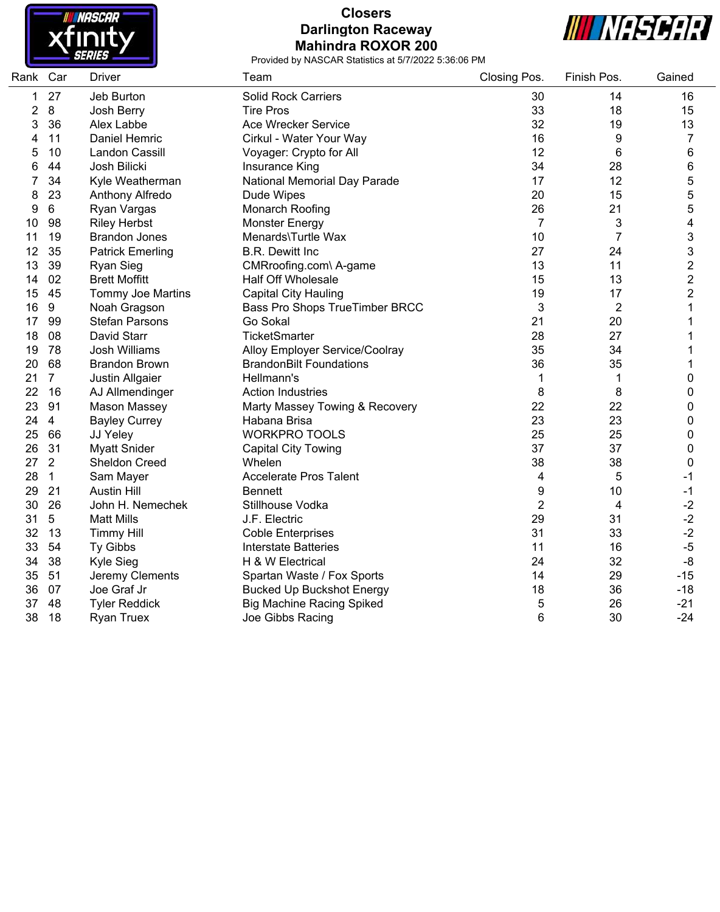

## **Closers Darlington Raceway Mahindra ROXOR 200**



| Rank Car |                | <b>Driver</b>            | Team                             | Closing Pos.   | Finish Pos.             | Gained           |
|----------|----------------|--------------------------|----------------------------------|----------------|-------------------------|------------------|
| 1        | 27             | Jeb Burton               | <b>Solid Rock Carriers</b>       | 30             | 14                      | 16               |
| 2        | 8              | Josh Berry               | <b>Tire Pros</b>                 | 33             | 18                      | 15               |
| 3        | 36             | Alex Labbe               | <b>Ace Wrecker Service</b>       | 32             | 19                      | 13               |
| 4        | 11             | Daniel Hemric            | Cirkul - Water Your Way          | 16             | 9                       | 7                |
| 5        | 10             | Landon Cassill           | Voyager: Crypto for All          | 12             | 6                       | 6                |
| 6        | 44             | Josh Bilicki             | Insurance King                   | 34             | 28                      | 6                |
| 7        | 34             | Kyle Weatherman          | National Memorial Day Parade     | 17             | 12                      | 5                |
| 8        | 23             | Anthony Alfredo          | Dude Wipes                       | 20             | 15                      | 5                |
| 9        | 6              | Ryan Vargas              | Monarch Roofing                  | 26             | 21                      | 5                |
| 10       | 98             | <b>Riley Herbst</b>      | <b>Monster Energy</b>            | $\overline{7}$ | $\sqrt{3}$              | 4                |
| 11       | 19             | <b>Brandon Jones</b>     | Menards\Turtle Wax               | 10             | $\overline{7}$          | 3                |
| 12       | 35             | <b>Patrick Emerling</b>  | <b>B.R. Dewitt Inc</b>           | 27             | 24                      | 3                |
| 13       | 39             | <b>Ryan Sieg</b>         | CMRroofing.com\ A-game           | 13             | 11                      | $\overline{c}$   |
| 14       | 02             | <b>Brett Moffitt</b>     | <b>Half Off Wholesale</b>        | 15             | 13                      | $\overline{2}$   |
| 15       | 45             | <b>Tommy Joe Martins</b> | <b>Capital City Hauling</b>      | 19             | 17                      | $\overline{c}$   |
| 16       | 9              | Noah Gragson             | Bass Pro Shops TrueTimber BRCC   | 3              | $\overline{2}$          | 1                |
| 17       | 99             | <b>Stefan Parsons</b>    | Go Sokal                         | 21             | 20                      | 1                |
| 18       | 08             | David Starr              | <b>TicketSmarter</b>             | 28             | 27                      | 1                |
| 19       | 78             | <b>Josh Williams</b>     | Alloy Employer Service/Coolray   | 35             | 34                      | 1                |
| 20       | 68             | <b>Brandon Brown</b>     | <b>BrandonBilt Foundations</b>   | 36             | 35                      | 1                |
| 21       | $\overline{7}$ | Justin Allgaier          | Hellmann's                       | 1              | 1                       | $\boldsymbol{0}$ |
| 22       | 16             | AJ Allmendinger          | <b>Action Industries</b>         | 8              | 8                       | 0                |
| 23       | 91             | Mason Massey             | Marty Massey Towing & Recovery   | 22             | 22                      | 0                |
| 24       | $\overline{4}$ | <b>Bayley Currey</b>     | Habana Brisa                     | 23             | 23                      | 0                |
| 25       | 66             | JJ Yeley                 | <b>WORKPRO TOOLS</b>             | 25             | 25                      | 0                |
| 26       | 31             | <b>Myatt Snider</b>      | <b>Capital City Towing</b>       | 37             | 37                      | $\boldsymbol{0}$ |
| 27       | $\overline{2}$ | Sheldon Creed            | Whelen                           | 38             | 38                      | 0                |
| 28       | $\mathbf{1}$   | Sam Mayer                | Accelerate Pros Talent           | 4              | 5                       | $-1$             |
| 29       | 21             | <b>Austin Hill</b>       | <b>Bennett</b>                   | 9              | 10                      | $-1$             |
| 30       | 26             | John H. Nemechek         | Stillhouse Vodka                 | $\overline{2}$ | $\overline{\mathbf{4}}$ | $-2$             |
| 31       | $\sqrt{5}$     | <b>Matt Mills</b>        | J.F. Electric                    | 29             | 31                      | $-2$             |
| 32       | 13             | <b>Timmy Hill</b>        | <b>Coble Enterprises</b>         | 31             | 33                      | $-2$             |
| 33       | 54             | Ty Gibbs                 | <b>Interstate Batteries</b>      | 11             | 16                      | $-5$             |
| 34       | 38             | Kyle Sieg                | H & W Electrical                 | 24             | 32                      | $-8$             |
| 35       | 51             | Jeremy Clements          | Spartan Waste / Fox Sports       | 14             | 29                      | $-15$            |
| 36       | 07             | Joe Graf Jr              | <b>Bucked Up Buckshot Energy</b> | 18             | 36                      | $-18$            |
| 37       | 48             | <b>Tyler Reddick</b>     | <b>Big Machine Racing Spiked</b> | 5              | 26                      | $-21$            |
| 38       | 18             | <b>Ryan Truex</b>        | Joe Gibbs Racing                 | 6              | 30                      | $-24$            |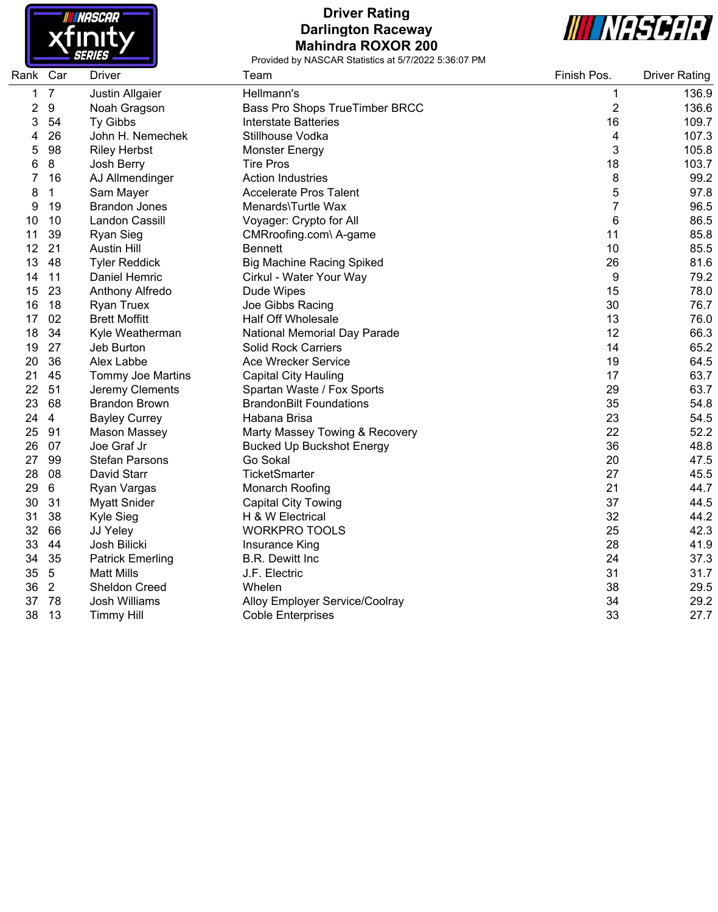

## **Driver Rating Darlington Raceway Mahindra ROXOR 200**



| Rank | Car            | Driver                  | Team                                  | Finish Pos.    | <b>Driver Rating</b> |
|------|----------------|-------------------------|---------------------------------------|----------------|----------------------|
| 1    | $\overline{7}$ | Justin Allgaier         | Hellmann's                            | 1              | 136.9                |
| 2    | 9              | Noah Gragson            | <b>Bass Pro Shops TrueTimber BRCC</b> | $\overline{2}$ | 136.6                |
| 3    | 54             | <b>Ty Gibbs</b>         | <b>Interstate Batteries</b>           | 16             | 109.7                |
| 4    | 26             | John H. Nemechek        | Stillhouse Vodka                      | 4              | 107.3                |
| 5    | 98             | <b>Riley Herbst</b>     | <b>Monster Energy</b>                 | 3              | 105.8                |
| 6    | 8              | Josh Berry              | <b>Tire Pros</b>                      | 18             | 103.7                |
| 7    | 16             | AJ Allmendinger         | <b>Action Industries</b>              | 8              | 99.2                 |
| 8    | 1              | Sam Mayer               | <b>Accelerate Pros Talent</b>         | 5              | 97.8                 |
| 9    | 19             | <b>Brandon Jones</b>    | Menards\Turtle Wax                    | 7              | 96.5                 |
| 10   | 10             | Landon Cassill          | Voyager: Crypto for All               | 6              | 86.5                 |
| 11   | 39             | <b>Ryan Sieg</b>        | CMRroofing.com\ A-game                | 11             | 85.8                 |
| 12   | 21             | <b>Austin Hill</b>      | <b>Bennett</b>                        | 10             | 85.5                 |
| 13   | 48             | <b>Tyler Reddick</b>    | <b>Big Machine Racing Spiked</b>      | 26             | 81.6                 |
| 14   | 11             | Daniel Hemric           | Cirkul - Water Your Way               | 9              | 79.2                 |
| 15   | 23             | Anthony Alfredo         | Dude Wipes                            | 15             | 78.0                 |
| 16   | 18             | <b>Ryan Truex</b>       | Joe Gibbs Racing                      | 30             | 76.7                 |
| 17   | 02             | <b>Brett Moffitt</b>    | <b>Half Off Wholesale</b>             | 13             | 76.0                 |
| 18   | 34             | Kyle Weatherman         | National Memorial Day Parade          | 12             | 66.3                 |
| 19   | 27             | Jeb Burton              | <b>Solid Rock Carriers</b>            | 14             | 65.2                 |
| 20   | 36             | Alex Labbe              | <b>Ace Wrecker Service</b>            | 19             | 64.5                 |
| 21   | 45             | Tommy Joe Martins       | <b>Capital City Hauling</b>           | 17             | 63.7                 |
| 22   | 51             | Jeremy Clements         | Spartan Waste / Fox Sports            | 29             | 63.7                 |
| 23   | 68             | <b>Brandon Brown</b>    | <b>BrandonBilt Foundations</b>        | 35             | 54.8                 |
| 24   | $\overline{4}$ | <b>Bayley Currey</b>    | Habana Brisa                          | 23             | 54.5                 |
| 25   | 91             | Mason Massey            | Marty Massey Towing & Recovery        | 22             | 52.2                 |
| 26   | 07             | Joe Graf Jr             | <b>Bucked Up Buckshot Energy</b>      | 36             | 48.8                 |
| 27   | 99             | <b>Stefan Parsons</b>   | Go Sokal                              | 20             | 47.5                 |
| 28   | 08             | David Starr             | <b>TicketSmarter</b>                  | 27             | 45.5                 |
| 29   | 6              | Ryan Vargas             | Monarch Roofing                       | 21             | 44.7                 |
| 30   | 31             | <b>Myatt Snider</b>     | <b>Capital City Towing</b>            | 37             | 44.5                 |
| 31   | 38             | Kyle Sieg               | H & W Electrical                      | 32             | 44.2                 |
| 32   | 66             | JJ Yeley                | <b>WORKPRO TOOLS</b>                  | 25             | 42.3                 |
| 33   | 44             | Josh Bilicki            | Insurance King                        | 28             | 41.9                 |
| 34   | 35             | <b>Patrick Emerling</b> | <b>B.R. Dewitt Inc</b>                | 24             | 37.3                 |
| 35   | $\sqrt{5}$     | <b>Matt Mills</b>       | J.F. Electric                         | 31             | 31.7                 |
| 36   | $\overline{2}$ | <b>Sheldon Creed</b>    | Whelen                                | 38             | 29.5                 |
| 37   | 78             | Josh Williams           | Alloy Employer Service/Coolray        | 34             | 29.2                 |
| 38   | 13             | <b>Timmy Hill</b>       | <b>Coble Enterprises</b>              | 33             | 27.7                 |
|      |                |                         |                                       |                |                      |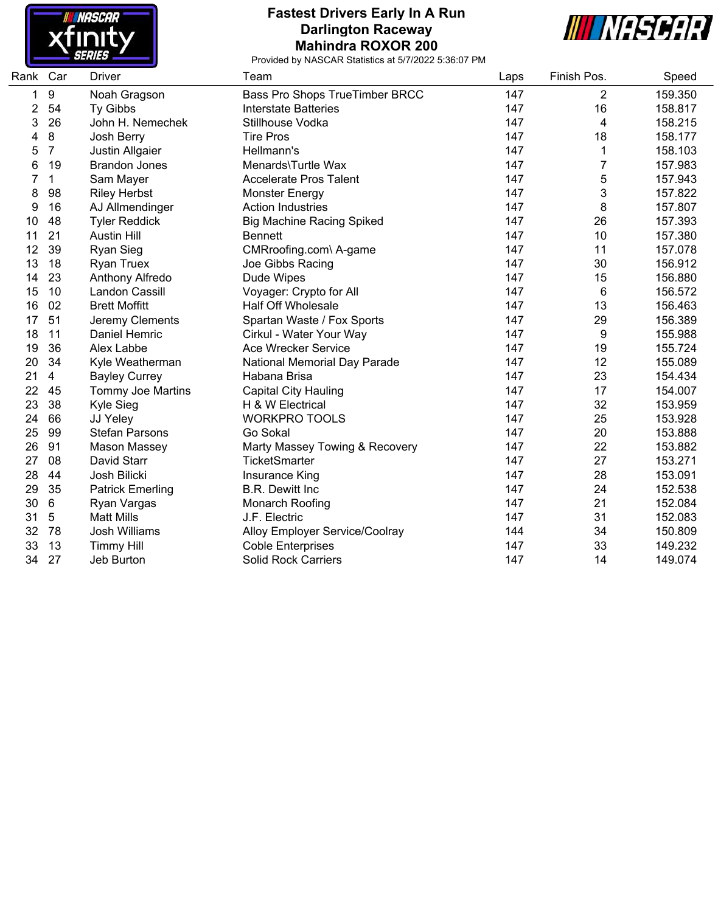

#### **Fastest Drivers Early In A Run Darlington Raceway Mahindra ROXOR 200**



| Rank | Car            | <b>Driver</b>            | Team                             | Laps | Finish Pos. | Speed   |
|------|----------------|--------------------------|----------------------------------|------|-------------|---------|
| 1    | 9              | Noah Gragson             | Bass Pro Shops TrueTimber BRCC   | 147  | 2           | 159.350 |
| 2    | 54             | Ty Gibbs                 | <b>Interstate Batteries</b>      | 147  | 16          | 158.817 |
| 3    | 26             | John H. Nemechek         | Stillhouse Vodka                 | 147  | 4           | 158.215 |
| 4    | 8              | Josh Berry               | <b>Tire Pros</b>                 | 147  | 18          | 158.177 |
| 5    | $\overline{7}$ | Justin Allgaier          | Hellmann's                       | 147  | 1           | 158.103 |
| 6    | 19             | <b>Brandon Jones</b>     | Menards\Turtle Wax               | 147  | 7           | 157.983 |
|      | 1              | Sam Mayer                | <b>Accelerate Pros Talent</b>    | 147  | 5           | 157.943 |
| 8    | 98             | <b>Riley Herbst</b>      | Monster Energy                   | 147  | 3           | 157.822 |
| 9    | 16             | AJ Allmendinger          | <b>Action Industries</b>         | 147  | 8           | 157.807 |
| 10   | 48             | <b>Tyler Reddick</b>     | <b>Big Machine Racing Spiked</b> | 147  | 26          | 157.393 |
| 11   | 21             | <b>Austin Hill</b>       | <b>Bennett</b>                   | 147  | 10          | 157.380 |
| 12   | 39             | <b>Ryan Sieg</b>         | CMRroofing.com\ A-game           | 147  | 11          | 157.078 |
| 13   | 18             | <b>Ryan Truex</b>        | Joe Gibbs Racing                 | 147  | 30          | 156.912 |
| 14   | 23             | Anthony Alfredo          | Dude Wipes                       | 147  | 15          | 156.880 |
| 15   | 10             | Landon Cassill           | Voyager: Crypto for All          | 147  | 6           | 156.572 |
| 16   | 02             | <b>Brett Moffitt</b>     | <b>Half Off Wholesale</b>        | 147  | 13          | 156.463 |
| 17   | 51             | Jeremy Clements          | Spartan Waste / Fox Sports       | 147  | 29          | 156.389 |
| 18   | 11             | Daniel Hemric            | Cirkul - Water Your Way          | 147  | 9           | 155.988 |
| 19   | 36             | Alex Labbe               | Ace Wrecker Service              | 147  | 19          | 155.724 |
| 20   | 34             | Kyle Weatherman          | National Memorial Day Parade     | 147  | 12          | 155.089 |
| 21   | $\overline{4}$ | <b>Bayley Currey</b>     | Habana Brisa                     | 147  | 23          | 154.434 |
| 22   | 45             | <b>Tommy Joe Martins</b> | <b>Capital City Hauling</b>      | 147  | 17          | 154.007 |
| 23   | 38             | <b>Kyle Sieg</b>         | H & W Electrical                 | 147  | 32          | 153.959 |
| 24   | 66             | JJ Yeley                 | <b>WORKPRO TOOLS</b>             | 147  | 25          | 153.928 |
| 25   | 99             | <b>Stefan Parsons</b>    | Go Sokal                         | 147  | 20          | 153.888 |
| 26   | 91             | Mason Massey             | Marty Massey Towing & Recovery   | 147  | 22          | 153.882 |
| 27   | 08             | David Starr              | <b>TicketSmarter</b>             | 147  | 27          | 153.271 |
| 28   | 44             | Josh Bilicki             | Insurance King                   | 147  | 28          | 153.091 |
| 29   | 35             | <b>Patrick Emerling</b>  | <b>B.R. Dewitt Inc.</b>          | 147  | 24          | 152.538 |
| 30   | 6              | Ryan Vargas              | Monarch Roofing                  | 147  | 21          | 152.084 |
| 31   | 5              | <b>Matt Mills</b>        | J.F. Electric                    | 147  | 31          | 152.083 |
| 32   | 78             | Josh Williams            | Alloy Employer Service/Coolray   | 144  | 34          | 150.809 |
| 33   | 13             | <b>Timmy Hill</b>        | <b>Coble Enterprises</b>         | 147  | 33          | 149.232 |
| 34   | 27             | Jeb Burton               | <b>Solid Rock Carriers</b>       | 147  | 14          | 149.074 |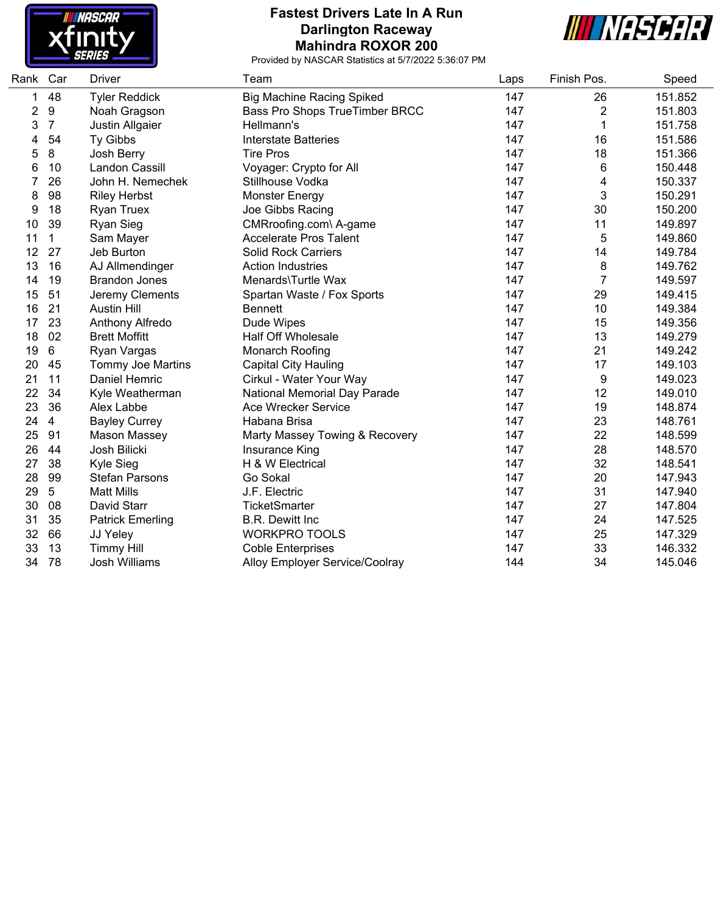

#### **Fastest Drivers Late In A Run Darlington Raceway Mahindra ROXOR 200**



| Rank Car |                 | <b>Driver</b>            | Team                                | Laps | Finish Pos. | Speed   |
|----------|-----------------|--------------------------|-------------------------------------|------|-------------|---------|
| 1        | 48              | <b>Tyler Reddick</b>     | <b>Big Machine Racing Spiked</b>    | 147  | 26          | 151.852 |
| 2        | 9               | Noah Gragson             | Bass Pro Shops TrueTimber BRCC      | 147  | 2           | 151.803 |
| 3        | $\overline{7}$  | Justin Allgaier          | Hellmann's                          | 147  | 1           | 151.758 |
| 4        | 54              | Ty Gibbs                 | <b>Interstate Batteries</b>         | 147  | 16          | 151.586 |
| 5        | 8               | Josh Berry               | <b>Tire Pros</b>                    | 147  | 18          | 151.366 |
| 6        | 10              | Landon Cassill           | Voyager: Crypto for All             | 147  | 6           | 150.448 |
| 7        | 26              | John H. Nemechek         | Stillhouse Vodka                    | 147  | 4           | 150.337 |
| 8        | 98              | <b>Riley Herbst</b>      | <b>Monster Energy</b>               | 147  | 3           | 150.291 |
| 9        | 18              | <b>Ryan Truex</b>        | Joe Gibbs Racing                    | 147  | 30          | 150.200 |
| 10       | 39              | <b>Ryan Sieg</b>         | CMRroofing.com\ A-game              | 147  | 11          | 149.897 |
| 11       | $\mathbf{1}$    | Sam Mayer                | <b>Accelerate Pros Talent</b>       | 147  | 5           | 149.860 |
| 12       | 27              | Jeb Burton               | <b>Solid Rock Carriers</b>          | 147  | 14          | 149.784 |
| 13       | 16              | AJ Allmendinger          | <b>Action Industries</b>            | 147  | 8           | 149.762 |
| 14       | 19              | <b>Brandon Jones</b>     | Menards\Turtle Wax                  | 147  | 7           | 149.597 |
| 15       | 51              | Jeremy Clements          | Spartan Waste / Fox Sports          | 147  | 29          | 149.415 |
| 16       | 21              | <b>Austin Hill</b>       | <b>Bennett</b>                      | 147  | 10          | 149.384 |
| 17       | 23              | Anthony Alfredo          | Dude Wipes                          | 147  | 15          | 149.356 |
| 18       | 02              | <b>Brett Moffitt</b>     | <b>Half Off Wholesale</b>           | 147  | 13          | 149.279 |
| 19       | 6               | Ryan Vargas              | Monarch Roofing                     | 147  | 21          | 149.242 |
| 20       | 45              | <b>Tommy Joe Martins</b> | <b>Capital City Hauling</b>         | 147  | 17          | 149.103 |
| 21       | 11              | Daniel Hemric            | Cirkul - Water Your Way             | 147  | 9           | 149.023 |
| 22       | 34              | Kyle Weatherman          | <b>National Memorial Day Parade</b> | 147  | 12          | 149.010 |
| 23       | 36              | Alex Labbe               | Ace Wrecker Service                 | 147  | 19          | 148.874 |
| 24       | $\overline{4}$  | <b>Bayley Currey</b>     | Habana Brisa                        | 147  | 23          | 148.761 |
| 25       | 91              | Mason Massey             | Marty Massey Towing & Recovery      | 147  | 22          | 148.599 |
| 26       | 44              | Josh Bilicki             | Insurance King                      | 147  | 28          | 148.570 |
| 27       | 38              | Kyle Sieg                | H & W Electrical                    | 147  | 32          | 148.541 |
| 28       | 99              | <b>Stefan Parsons</b>    | Go Sokal                            | 147  | 20          | 147.943 |
| 29       | $5\overline{)}$ | <b>Matt Mills</b>        | J.F. Electric                       | 147  | 31          | 147.940 |
| 30       | 08              | David Starr              | <b>TicketSmarter</b>                | 147  | 27          | 147.804 |
| 31       | 35              | <b>Patrick Emerling</b>  | <b>B.R. Dewitt Inc</b>              | 147  | 24          | 147.525 |
| 32       | 66              | JJ Yeley                 | <b>WORKPRO TOOLS</b>                | 147  | 25          | 147.329 |
| 33       | 13              | <b>Timmy Hill</b>        | <b>Coble Enterprises</b>            | 147  | 33          | 146.332 |
| 34       | 78              | <b>Josh Williams</b>     | Alloy Employer Service/Coolray      | 144  | 34          | 145.046 |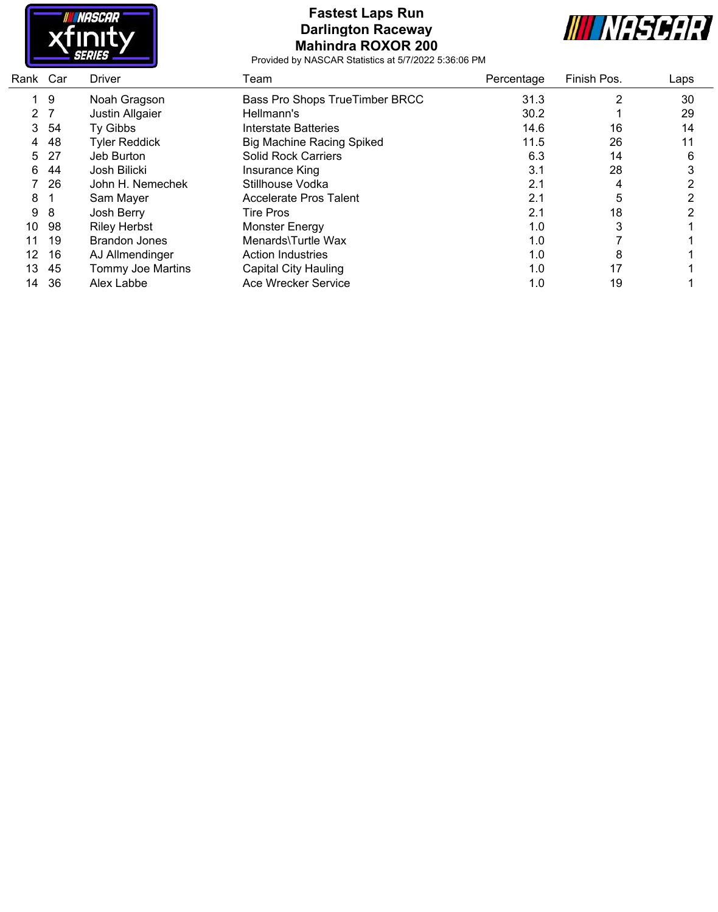

## **Fastest Laps Run Darlington Raceway Mahindra ROXOR 200**



| Rank Car |     | Driver               | Team                             | Percentage | Finish Pos. | Laps |
|----------|-----|----------------------|----------------------------------|------------|-------------|------|
|          | 9   | Noah Gragson         | Bass Pro Shops TrueTimber BRCC   | 31.3       | 2           | 30   |
| 2        |     | Justin Allgaier      | Hellmann's                       | 30.2       |             | 29   |
| 3        | 54  | <b>Ty Gibbs</b>      | Interstate Batteries             | 14.6       | 16          | 14   |
| 4        | 48  | <b>Tyler Reddick</b> | <b>Big Machine Racing Spiked</b> | 11.5       | 26          | 11   |
| 5.       | -27 | Jeb Burton           | <b>Solid Rock Carriers</b>       | 6.3        | 14          | 6    |
| 6        | 44  | Josh Bilicki         | Insurance King                   | 3.1        | 28          |      |
|          | 26  | John H. Nemechek     | Stillhouse Vodka                 | 2.1        | 4           | າ    |
| 8        |     | Sam Mayer            | <b>Accelerate Pros Talent</b>    | 2.1        | 5           | ∩    |
| 9        | 8   | Josh Berry           | <b>Tire Pros</b>                 | 2.1        | 18          |      |
| 10       | 98  | <b>Riley Herbst</b>  | <b>Monster Energy</b>            | 1.0        | 3           |      |
| 11       | 19  | <b>Brandon Jones</b> | Menards\Turtle Wax               | 1.0        |             |      |
| 12       | 16  | AJ Allmendinger      | <b>Action Industries</b>         | 1.0        | 8           |      |
| 13       | 45  | Tommy Joe Martins    | Capital City Hauling             | 1.0        | 17          |      |
| 14       | -36 | Alex Labbe           | Ace Wrecker Service              | 1.0        | 19          |      |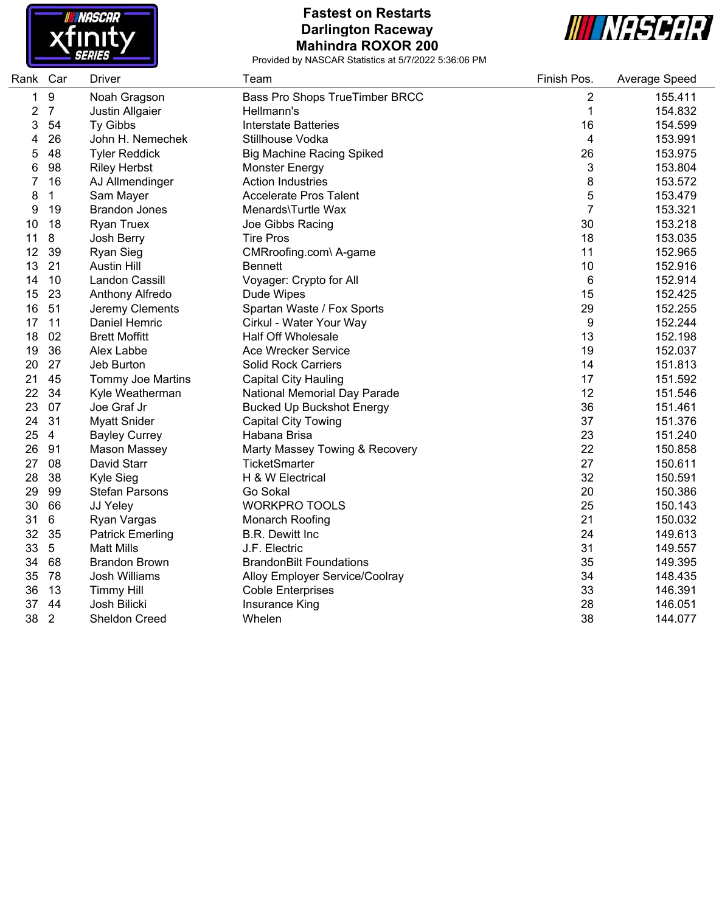

### **Fastest on Restarts Darlington Raceway Mahindra ROXOR 200**



and a

| Rank Car |                | Driver                   | Team                             | Finish Pos.    | Average Speed |
|----------|----------------|--------------------------|----------------------------------|----------------|---------------|
| 1        | 9              | Noah Gragson             | Bass Pro Shops TrueTimber BRCC   | 2              | 155.411       |
| 2        | $\overline{7}$ | Justin Allgaier          | Hellmann's                       | 1              | 154.832       |
| 3        | 54             | Ty Gibbs                 | <b>Interstate Batteries</b>      | 16             | 154.599       |
| 4        | 26             | John H. Nemechek         | Stillhouse Vodka                 | 4              | 153.991       |
| 5        | 48             | <b>Tyler Reddick</b>     | <b>Big Machine Racing Spiked</b> | 26             | 153.975       |
| 6        | 98             | <b>Riley Herbst</b>      | <b>Monster Energy</b>            | 3              | 153.804       |
| 7        | 16             | AJ Allmendinger          | <b>Action Industries</b>         | 8              | 153.572       |
| 8        | 1              | Sam Mayer                | <b>Accelerate Pros Talent</b>    | 5              | 153.479       |
| 9        | 19             | <b>Brandon Jones</b>     | Menards\Turtle Wax               | $\overline{7}$ | 153.321       |
| 10       | 18             | <b>Ryan Truex</b>        | Joe Gibbs Racing                 | 30             | 153.218       |
| 11       | 8              | Josh Berry               | <b>Tire Pros</b>                 | 18             | 153.035       |
| 12       | 39             | Ryan Sieg                | CMRroofing.com\ A-game           | 11             | 152.965       |
| 13       | 21             | <b>Austin Hill</b>       | <b>Bennett</b>                   | 10             | 152.916       |
| 14       | 10             | Landon Cassill           | Voyager: Crypto for All          | 6              | 152.914       |
| 15       | 23             | Anthony Alfredo          | Dude Wipes                       | 15             | 152.425       |
| 16       | 51             | Jeremy Clements          | Spartan Waste / Fox Sports       | 29             | 152.255       |
| 17       | 11             | Daniel Hemric            | Cirkul - Water Your Way          | 9              | 152.244       |
| 18       | 02             | <b>Brett Moffitt</b>     | <b>Half Off Wholesale</b>        | 13             | 152.198       |
| 19       | 36             | Alex Labbe               | Ace Wrecker Service              | 19             | 152.037       |
| 20       | 27             | Jeb Burton               | Solid Rock Carriers              | 14             | 151.813       |
| 21       | 45             | <b>Tommy Joe Martins</b> | <b>Capital City Hauling</b>      | 17             | 151.592       |
| 22       | 34             | Kyle Weatherman          | National Memorial Day Parade     | 12             | 151.546       |
| 23       | 07             | Joe Graf Jr              | <b>Bucked Up Buckshot Energy</b> | 36             | 151.461       |
| 24       | 31             | <b>Myatt Snider</b>      | <b>Capital City Towing</b>       | 37             | 151.376       |
| 25       | $\overline{4}$ | <b>Bayley Currey</b>     | Habana Brisa                     | 23             | 151.240       |
| 26       | 91             | Mason Massey             | Marty Massey Towing & Recovery   | 22             | 150.858       |
| 27       | 08             | David Starr              | <b>TicketSmarter</b>             | 27             | 150.611       |
| 28       | 38             | Kyle Sieg                | H & W Electrical                 | 32             | 150.591       |
| 29       | 99             | <b>Stefan Parsons</b>    | Go Sokal                         | 20             | 150.386       |
| 30       | 66             | JJ Yeley                 | <b>WORKPRO TOOLS</b>             | 25             | 150.143       |
| 31       | 6              | Ryan Vargas              | Monarch Roofing                  | 21             | 150.032       |
| 32       | 35             | <b>Patrick Emerling</b>  | <b>B.R. Dewitt Inc</b>           | 24             | 149.613       |
| 33       | 5              | <b>Matt Mills</b>        | J.F. Electric                    | 31             | 149.557       |
| 34       | 68             | <b>Brandon Brown</b>     | <b>BrandonBilt Foundations</b>   | 35             | 149.395       |
| 35       | 78             | <b>Josh Williams</b>     | Alloy Employer Service/Coolray   | 34             | 148.435       |
| 36       | 13             | <b>Timmy Hill</b>        | <b>Coble Enterprises</b>         | 33             | 146.391       |
| 37       | 44             | Josh Bilicki             | Insurance King                   | 28             | 146.051       |
| 38       | $\overline{2}$ | <b>Sheldon Creed</b>     | Whelen                           | 38             | 144.077       |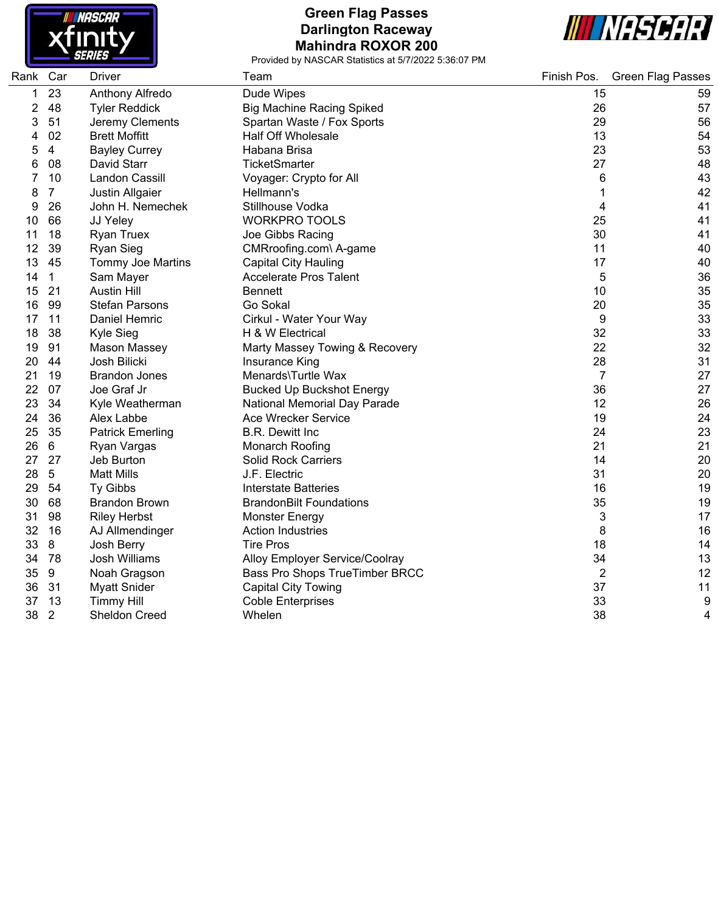

### **Green Flag Passes Darlington Raceway Mahindra ROXOR 200**



| Rank Car |                | Driver                   | Team                             | Finish Pos.    | <b>Green Flag Passes</b> |
|----------|----------------|--------------------------|----------------------------------|----------------|--------------------------|
| 1        | 23             | Anthony Alfredo          | Dude Wipes                       | 15             | 59                       |
| 2        | 48             | <b>Tyler Reddick</b>     | <b>Big Machine Racing Spiked</b> | 26             | 57                       |
| 3        | 51             | Jeremy Clements          | Spartan Waste / Fox Sports       | 29             | 56                       |
| 4        | 02             | <b>Brett Moffitt</b>     | <b>Half Off Wholesale</b>        | 13             | 54                       |
| 5        | $\overline{4}$ | <b>Bayley Currey</b>     | Habana Brisa                     | 23             | 53                       |
| 6        | 08             | David Starr              | TicketSmarter                    | 27             | 48                       |
|          | 10             | Landon Cassill           | Voyager: Crypto for All          | 6              | 43                       |
| 8        | $\overline{7}$ | Justin Allgaier          | Hellmann's                       |                | 42                       |
| 9        | 26             | John H. Nemechek         | Stillhouse Vodka                 | 4              | 41                       |
| 10       | 66             | JJ Yeley                 | <b>WORKPRO TOOLS</b>             | 25             | 41                       |
| 11       | 18             | <b>Ryan Truex</b>        | Joe Gibbs Racing                 | 30             | 41                       |
| 12       | 39             | <b>Ryan Sieg</b>         | CMRroofing.com\ A-game           | 11             | 40                       |
| 13       | 45             | <b>Tommy Joe Martins</b> | <b>Capital City Hauling</b>      | 17             | 40                       |
| 14       | $\mathbf{1}$   | Sam Mayer                | <b>Accelerate Pros Talent</b>    | 5              | 36                       |
| 15       | 21             | <b>Austin Hill</b>       | <b>Bennett</b>                   | 10             | 35                       |
| 16       | 99             | <b>Stefan Parsons</b>    | Go Sokal                         | 20             | 35                       |
| 17       | 11             | Daniel Hemric            | Cirkul - Water Your Way          | 9              | 33                       |
| 18       | 38             | Kyle Sieg                | H & W Electrical                 | 32             | 33                       |
| 19       | 91             | Mason Massey             | Marty Massey Towing & Recovery   | 22             | 32                       |
| 20       | 44             | Josh Bilicki             | Insurance King                   | 28             | 31                       |
| 21       | 19             | <b>Brandon Jones</b>     | Menards\Turtle Wax               | $\overline{7}$ | 27                       |
| 22       | 07             | Joe Graf Jr              | <b>Bucked Up Buckshot Energy</b> | 36             | 27                       |
| 23       | 34             | Kyle Weatherman          | National Memorial Day Parade     | 12             | 26                       |
| 24       | 36             | Alex Labbe               | <b>Ace Wrecker Service</b>       | 19             | 24                       |
| 25       | 35             | <b>Patrick Emerling</b>  | <b>B.R. Dewitt Inc</b>           | 24             | 23                       |
| 26       | 6              | Ryan Vargas              | Monarch Roofing                  | 21             | 21                       |
| 27       | 27             | Jeb Burton               | <b>Solid Rock Carriers</b>       | 14             | 20                       |
| 28       | $\overline{5}$ | <b>Matt Mills</b>        | J.F. Electric                    | 31             | 20                       |
| 29       | 54             | Ty Gibbs                 | <b>Interstate Batteries</b>      | 16             | 19                       |
| 30       | 68             | <b>Brandon Brown</b>     | <b>BrandonBilt Foundations</b>   | 35             | 19                       |
| 31       | 98             | <b>Riley Herbst</b>      | <b>Monster Energy</b>            | 3              | 17                       |
| 32       | 16             | AJ Allmendinger          | <b>Action Industries</b>         | 8              | 16                       |
| 33       | 8              | Josh Berry               | <b>Tire Pros</b>                 | 18             | 14                       |
| 34       | 78             | <b>Josh Williams</b>     | Alloy Employer Service/Coolray   | 34             | 13                       |
| 35       | 9              | Noah Gragson             | Bass Pro Shops TrueTimber BRCC   | $\overline{2}$ | 12                       |
| 36       | 31             | <b>Myatt Snider</b>      | <b>Capital City Towing</b>       | 37             | 11                       |
| 37       | 13             | <b>Timmy Hill</b>        | <b>Coble Enterprises</b>         | 33             | 9                        |
| 38       | $\overline{2}$ | Sheldon Creed            | Whelen                           | 38             | 4                        |
|          |                |                          |                                  |                |                          |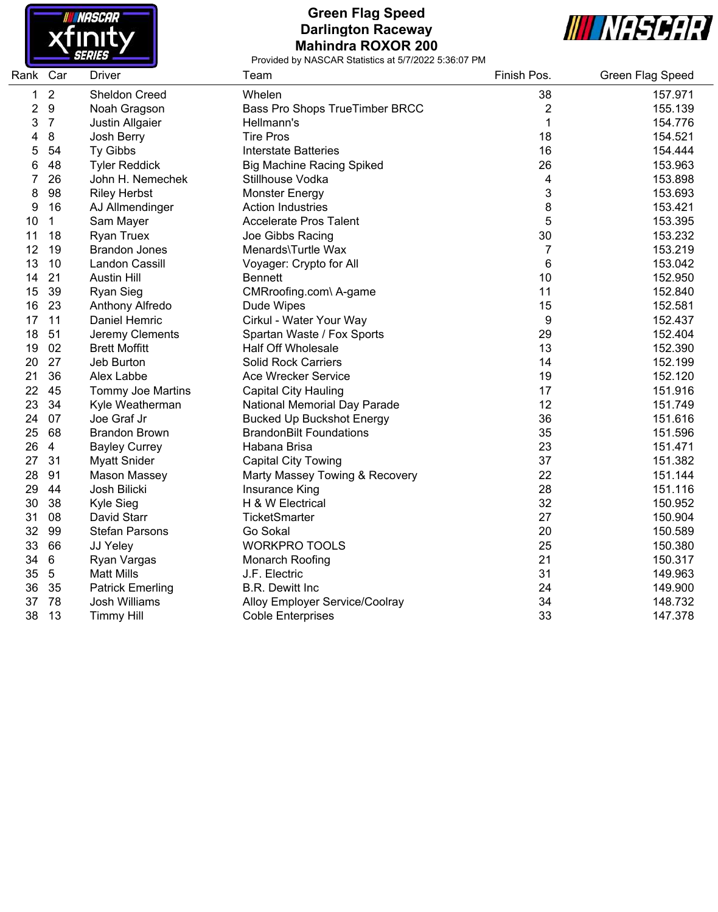

## **Green Flag Speed Darlington Raceway Mahindra ROXOR 200**



| Rank | Car             | <b>Driver</b>           | Team                             | Finish Pos.  | Green Flag Speed |
|------|-----------------|-------------------------|----------------------------------|--------------|------------------|
| 1    | $\overline{2}$  | Sheldon Creed           | Whelen                           | 38           | 157.971          |
| 2    | $9\,$           | Noah Gragson            | Bass Pro Shops TrueTimber BRCC   | 2            | 155.139          |
| 3    | $\overline{7}$  | Justin Allgaier         | Hellmann's                       | $\mathbf{1}$ | 154.776          |
| 4    | 8               | Josh Berry              | <b>Tire Pros</b>                 | 18           | 154.521          |
| 5    | 54              | Ty Gibbs                | <b>Interstate Batteries</b>      | 16           | 154.444          |
| 6    | 48              | <b>Tyler Reddick</b>    | <b>Big Machine Racing Spiked</b> | 26           | 153.963          |
| 7    | 26              | John H. Nemechek        | Stillhouse Vodka                 | 4            | 153.898          |
| 8    | 98              | <b>Riley Herbst</b>     | <b>Monster Energy</b>            | 3            | 153.693          |
| 9    | 16              | AJ Allmendinger         | <b>Action Industries</b>         | 8            | 153.421          |
| 10   | $\mathbf 1$     | Sam Mayer               | <b>Accelerate Pros Talent</b>    | 5            | 153.395          |
| 11   | 18              | <b>Ryan Truex</b>       | Joe Gibbs Racing                 | 30           | 153.232          |
| 12   | 19              | <b>Brandon Jones</b>    | Menards\Turtle Wax               | 7            | 153.219          |
| 13   | 10              | Landon Cassill          | Voyager: Crypto for All          | 6            | 153.042          |
| 14   | 21              | <b>Austin Hill</b>      | <b>Bennett</b>                   | 10           | 152.950          |
| 15   | 39              | <b>Ryan Sieg</b>        | CMRroofing.com\ A-game           | 11           | 152.840          |
| 16   | 23              | Anthony Alfredo         | Dude Wipes                       | 15           | 152.581          |
| 17   | 11              | Daniel Hemric           | Cirkul - Water Your Way          | 9            | 152.437          |
| 18   | 51              | Jeremy Clements         | Spartan Waste / Fox Sports       | 29           | 152.404          |
| 19   | 02              | <b>Brett Moffitt</b>    | <b>Half Off Wholesale</b>        | 13           | 152.390          |
| 20   | 27              | Jeb Burton              | <b>Solid Rock Carriers</b>       | 14           | 152.199          |
| 21   | 36              | Alex Labbe              | <b>Ace Wrecker Service</b>       | 19           | 152.120          |
| 22   | 45              | Tommy Joe Martins       | <b>Capital City Hauling</b>      | 17           | 151.916          |
| 23   | 34              | Kyle Weatherman         | National Memorial Day Parade     | 12           | 151.749          |
| 24   | 07              | Joe Graf Jr             | <b>Bucked Up Buckshot Energy</b> | 36           | 151.616          |
| 25   | 68              | <b>Brandon Brown</b>    | <b>BrandonBilt Foundations</b>   | 35           | 151.596          |
| 26   | $\overline{4}$  | <b>Bayley Currey</b>    | Habana Brisa                     | 23           | 151.471          |
| 27   | 31              | <b>Myatt Snider</b>     | <b>Capital City Towing</b>       | 37           | 151.382          |
| 28   | 91              | Mason Massey            | Marty Massey Towing & Recovery   | 22           | 151.144          |
| 29   | 44              | Josh Bilicki            | Insurance King                   | 28           | 151.116          |
| 30   | 38              | Kyle Sieg               | H & W Electrical                 | 32           | 150.952          |
| 31   | 08              | David Starr             | <b>TicketSmarter</b>             | 27           | 150.904          |
| 32   | 99              | <b>Stefan Parsons</b>   | Go Sokal                         | 20           | 150.589          |
| 33   | 66              | JJ Yeley                | <b>WORKPRO TOOLS</b>             | 25           | 150.380          |
| 34   | $6\phantom{1}6$ | Ryan Vargas             | Monarch Roofing                  | 21           | 150.317          |
| 35   | $\overline{5}$  | <b>Matt Mills</b>       | J.F. Electric                    | 31           | 149.963          |
| 36   | 35              | <b>Patrick Emerling</b> | <b>B.R. Dewitt Inc</b>           | 24           | 149.900          |
| 37   | 78              | Josh Williams           | Alloy Employer Service/Coolray   | 34           | 148.732          |
| 38   | 13              | <b>Timmy Hill</b>       | <b>Coble Enterprises</b>         | 33           | 147.378          |
|      |                 |                         |                                  |              |                  |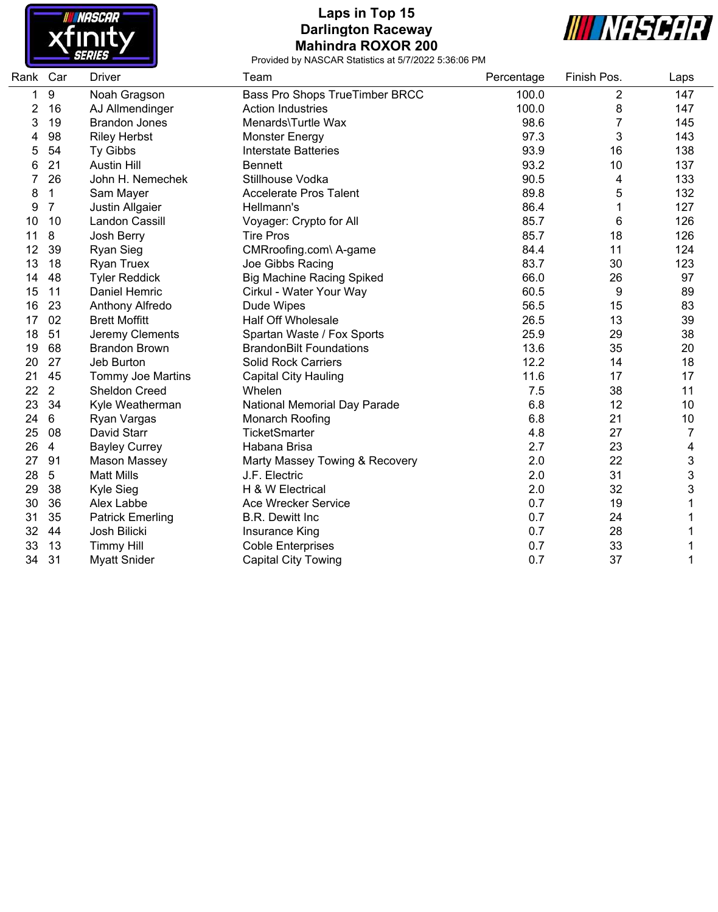

## **Laps in Top 15 Darlington Raceway Mahindra ROXOR 200**



| Rank Car |                  | <b>Driver</b>            | Team                             | Percentage | Finish Pos.    | Laps |
|----------|------------------|--------------------------|----------------------------------|------------|----------------|------|
| 1.       | $\boldsymbol{9}$ | Noah Gragson             | Bass Pro Shops TrueTimber BRCC   | 100.0      | $\overline{c}$ | 147  |
| 2        | 16               | AJ Allmendinger          | <b>Action Industries</b>         | 100.0      | 8              | 147  |
| 3        | 19               | <b>Brandon Jones</b>     | Menards\Turtle Wax               | 98.6       |                | 145  |
| 4        | 98               | <b>Riley Herbst</b>      | <b>Monster Energy</b>            | 97.3       | 3              | 143  |
| 5        | 54               | Ty Gibbs                 | <b>Interstate Batteries</b>      | 93.9       | 16             | 138  |
| 6        | 21               | <b>Austin Hill</b>       | <b>Bennett</b>                   | 93.2       | 10             | 137  |
| 7        | 26               | John H. Nemechek         | Stillhouse Vodka                 | 90.5       | 4              | 133  |
| 8        | 1                | Sam Mayer                | <b>Accelerate Pros Talent</b>    | 89.8       | 5              | 132  |
| 9        | $\overline{7}$   | Justin Allgaier          | Hellmann's                       | 86.4       |                | 127  |
| 10       | 10               | Landon Cassill           | Voyager: Crypto for All          | 85.7       | 6              | 126  |
| 11       | 8                | Josh Berry               | <b>Tire Pros</b>                 | 85.7       | 18             | 126  |
| 12       | 39               | <b>Ryan Sieg</b>         | CMRroofing.com\ A-game           | 84.4       | 11             | 124  |
| 13       | 18               | <b>Ryan Truex</b>        | Joe Gibbs Racing                 | 83.7       | 30             | 123  |
| 14       | 48               | <b>Tyler Reddick</b>     | <b>Big Machine Racing Spiked</b> | 66.0       | 26             | 97   |
| 15       | 11               | Daniel Hemric            | Cirkul - Water Your Way          | 60.5       | 9              | 89   |
| 16       | 23               | Anthony Alfredo          | Dude Wipes                       | 56.5       | 15             | 83   |
| 17       | 02               | <b>Brett Moffitt</b>     | <b>Half Off Wholesale</b>        | 26.5       | 13             | 39   |
| 18       | 51               | Jeremy Clements          | Spartan Waste / Fox Sports       | 25.9       | 29             | 38   |
| 19       | 68               | <b>Brandon Brown</b>     | <b>BrandonBilt Foundations</b>   | 13.6       | 35             | 20   |
| 20       | 27               | Jeb Burton               | <b>Solid Rock Carriers</b>       | 12.2       | 14             | 18   |
| 21       | 45               | <b>Tommy Joe Martins</b> | <b>Capital City Hauling</b>      | 11.6       | 17             | 17   |
| 22       | $\overline{2}$   | Sheldon Creed            | Whelen                           | 7.5        | 38             | 11   |
| 23       | 34               | Kyle Weatherman          | National Memorial Day Parade     | 6.8        | 12             | 10   |
| 24       | 6                | Ryan Vargas              | Monarch Roofing                  | 6.8        | 21             | 10   |
| 25       | 08               | David Starr              | <b>TicketSmarter</b>             | 4.8        | 27             | 7    |
| 26       | 4                | <b>Bayley Currey</b>     | Habana Brisa                     | 2.7        | 23             | 4    |
| 27       | 91               | <b>Mason Massey</b>      | Marty Massey Towing & Recovery   | 2.0        | 22             | 3    |
| 28       | $\overline{5}$   | <b>Matt Mills</b>        | J.F. Electric                    | 2.0        | 31             | 3    |
| 29       | 38               | Kyle Sieg                | H & W Electrical                 | 2.0        | 32             | 3    |
| 30       | 36               | Alex Labbe               | Ace Wrecker Service              | 0.7        | 19             |      |
| 31       | 35               | <b>Patrick Emerling</b>  | <b>B.R. Dewitt Inc.</b>          | 0.7        | 24             |      |
| 32       | 44               | Josh Bilicki             | Insurance King                   | 0.7        | 28             | Ŧ    |
| 33       | 13               | <b>Timmy Hill</b>        | <b>Coble Enterprises</b>         | 0.7        | 33             |      |
| 34       | 31               | <b>Myatt Snider</b>      | <b>Capital City Towing</b>       | 0.7        | 37             | 1    |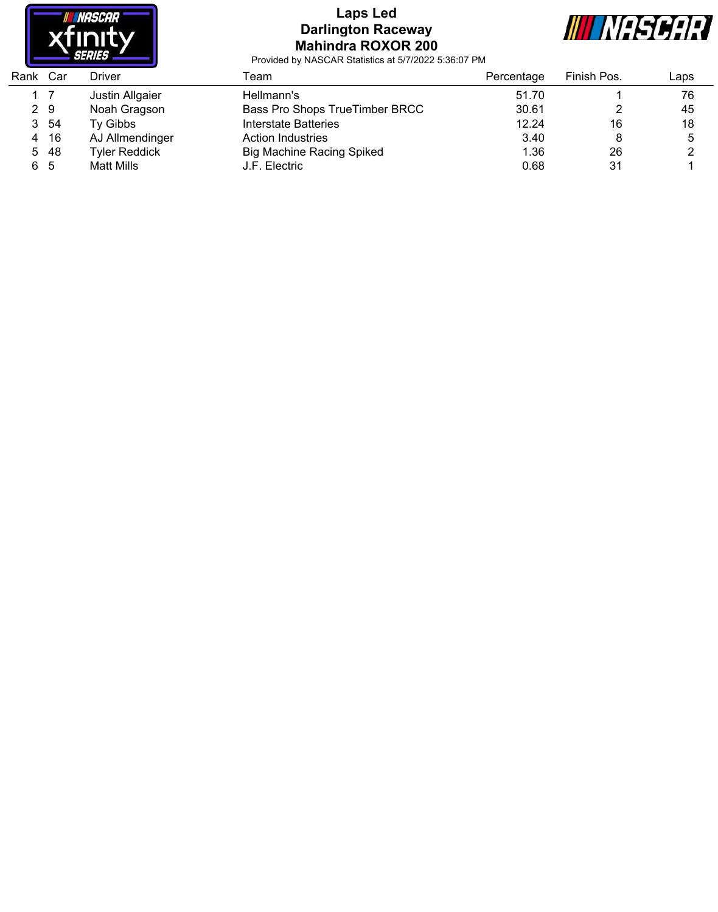

### **Laps Led Darlington Raceway Mahindra ROXOR 200**



| Rank Car |     | <b>Driver</b>        | Геаm                             | Percentage | Finish Pos. | Laps |
|----------|-----|----------------------|----------------------------------|------------|-------------|------|
|          |     | Justin Allgaier      | Hellmann's                       | 51.70      |             | 76   |
|          | 2 9 | Noah Gragson         | Bass Pro Shops TrueTimber BRCC   | 30.61      |             | 45   |
| 3        | -54 | Tv Gibbs             | Interstate Batteries             | 12.24      | 16          | 18   |
| 4        | -16 | AJ Allmendinger      | Action Industries                | 3.40       |             | 5    |
| 5        | -48 | <b>Tyler Reddick</b> | <b>Big Machine Racing Spiked</b> | 1.36       | 26          |      |
| 65       |     | Matt Mills           | J.F. Electric                    | 0.68       | 31          |      |
|          |     |                      |                                  |            |             |      |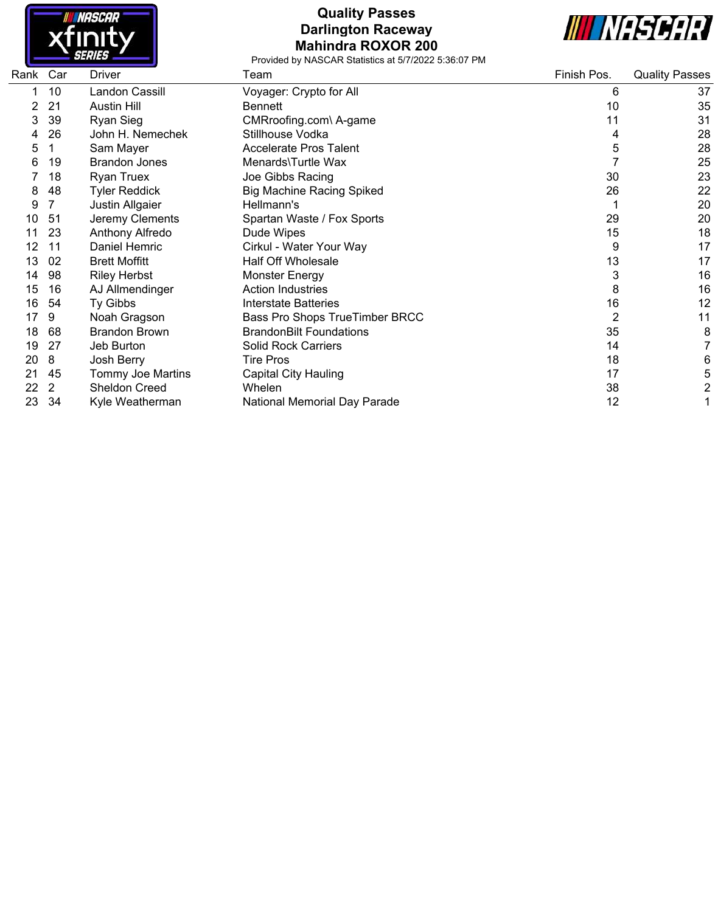

## **Quality Passes Darlington Raceway Mahindra ROXOR 200**



| Rank | Car | <b>Driver</b>        | Team                             | Finish Pos.    | <b>Quality Passes</b> |
|------|-----|----------------------|----------------------------------|----------------|-----------------------|
|      | 10  | Landon Cassill       | Voyager: Crypto for All          | 6              | 37                    |
|      | 21  | <b>Austin Hill</b>   | Bennett                          | 10             | 35                    |
| 3    | 39  | <b>Ryan Sieg</b>     | CMRroofing.com\ A-game           | 11             | 31                    |
|      | 26  | John H. Nemechek     | Stillhouse Vodka                 | 4              | 28                    |
| 5    |     | Sam Mayer            | <b>Accelerate Pros Talent</b>    | 5              | 28                    |
| 6    | 19  | <b>Brandon Jones</b> | Menards\Turtle Wax               |                | 25                    |
|      | 18  | <b>Ryan Truex</b>    | Joe Gibbs Racing                 | 30             | 23                    |
| 8    | 48  | <b>Tyler Reddick</b> | <b>Big Machine Racing Spiked</b> | 26             | 22                    |
| 9    |     | Justin Allgaier      | Hellmann's                       |                | 20                    |
| 10   | -51 | Jeremy Clements      | Spartan Waste / Fox Sports       | 29             | 20                    |
|      | 23  | Anthony Alfredo      | Dude Wipes                       | 15             | 18                    |
| 12   | 11  | Daniel Hemric        | Cirkul - Water Your Way          | 9              | 17                    |
| 13   | 02  | <b>Brett Moffitt</b> | <b>Half Off Wholesale</b>        | 13             | 17                    |
| 14   | 98  | <b>Riley Herbst</b>  | Monster Energy                   | 3              | 16                    |
| 15   | 16  | AJ Allmendinger      | <b>Action Industries</b>         | 8              | 16                    |
| 16   | 54  | Ty Gibbs             | <b>Interstate Batteries</b>      | 16             | 12                    |
| 17   | 9   | Noah Gragson         | Bass Pro Shops TrueTimber BRCC   | $\overline{2}$ | 11                    |
| 18   | 68  | <b>Brandon Brown</b> | <b>BrandonBilt Foundations</b>   | 35             | 8                     |
| 19   | 27  | Jeb Burton           | <b>Solid Rock Carriers</b>       | 14             | 7                     |
| 20   | 8   | Josh Berry           | <b>Tire Pros</b>                 | 18             | 6                     |
| 21   | 45  | Tommy Joe Martins    | <b>Capital City Hauling</b>      | 17             | 5                     |
| 22   | 2   | Sheldon Creed        | Whelen                           | 38             | $\overline{c}$        |
| 23   | 34  | Kyle Weatherman      | National Memorial Day Parade     | 12             | 1                     |
|      |     |                      |                                  |                |                       |